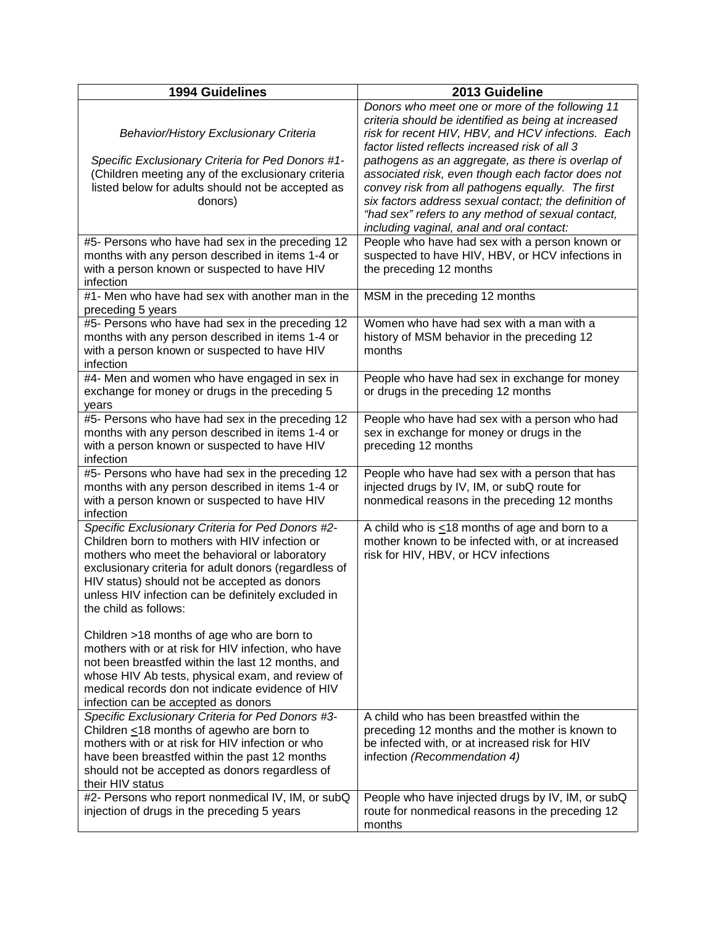| <b>1994 Guidelines</b>                                                                                                                                                                                                                                                                                                                       | 2013 Guideline                                                                                                                                                                                                                                                      |
|----------------------------------------------------------------------------------------------------------------------------------------------------------------------------------------------------------------------------------------------------------------------------------------------------------------------------------------------|---------------------------------------------------------------------------------------------------------------------------------------------------------------------------------------------------------------------------------------------------------------------|
| <b>Behavior/History Exclusionary Criteria</b><br>Specific Exclusionary Criteria for Ped Donors #1-                                                                                                                                                                                                                                           | Donors who meet one or more of the following 11<br>criteria should be identified as being at increased<br>risk for recent HIV, HBV, and HCV infections. Each<br>factor listed reflects increased risk of all 3<br>pathogens as an aggregate, as there is overlap of |
| (Children meeting any of the exclusionary criteria<br>listed below for adults should not be accepted as<br>donors)                                                                                                                                                                                                                           | associated risk, even though each factor does not<br>convey risk from all pathogens equally. The first<br>six factors address sexual contact; the definition of<br>"had sex" refers to any method of sexual contact,<br>including vaginal, anal and oral contact:   |
| #5- Persons who have had sex in the preceding 12<br>months with any person described in items 1-4 or<br>with a person known or suspected to have HIV<br>infection                                                                                                                                                                            | People who have had sex with a person known or<br>suspected to have HIV, HBV, or HCV infections in<br>the preceding 12 months                                                                                                                                       |
| $#1$ - Men who have had sex with another man in the<br>preceding 5 years                                                                                                                                                                                                                                                                     | MSM in the preceding 12 months                                                                                                                                                                                                                                      |
| #5- Persons who have had sex in the preceding 12<br>months with any person described in items 1-4 or<br>with a person known or suspected to have HIV<br>infection                                                                                                                                                                            | Women who have had sex with a man with a<br>history of MSM behavior in the preceding 12<br>months                                                                                                                                                                   |
| #4- Men and women who have engaged in sex in<br>exchange for money or drugs in the preceding 5<br>years                                                                                                                                                                                                                                      | People who have had sex in exchange for money<br>or drugs in the preceding 12 months                                                                                                                                                                                |
| #5- Persons who have had sex in the preceding 12<br>months with any person described in items 1-4 or<br>with a person known or suspected to have HIV<br>infection                                                                                                                                                                            | People who have had sex with a person who had<br>sex in exchange for money or drugs in the<br>preceding 12 months                                                                                                                                                   |
| #5- Persons who have had sex in the preceding 12<br>months with any person described in items 1-4 or<br>with a person known or suspected to have HIV<br>infection                                                                                                                                                                            | People who have had sex with a person that has<br>injected drugs by IV, IM, or subQ route for<br>nonmedical reasons in the preceding 12 months                                                                                                                      |
| Specific Exclusionary Criteria for Ped Donors #2-<br>Children born to mothers with HIV infection or<br>mothers who meet the behavioral or laboratory<br>exclusionary criteria for adult donors (regardless of<br>HIV status) should not be accepted as donors<br>unless HIV infection can be definitely excluded in<br>the child as follows: | A child who is $\leq$ 18 months of age and born to a<br>mother known to be infected with, or at increased<br>risk for HIV, HBV, or HCV infections                                                                                                                   |
| Children >18 months of age who are born to<br>mothers with or at risk for HIV infection, who have<br>not been breastfed within the last 12 months, and<br>whose HIV Ab tests, physical exam, and review of<br>medical records don not indicate evidence of HIV<br>infection can be accepted as donors                                        |                                                                                                                                                                                                                                                                     |
| Specific Exclusionary Criteria for Ped Donors #3-<br>Children $\leq$ 18 months of agewho are born to<br>mothers with or at risk for HIV infection or who<br>have been breastfed within the past 12 months<br>should not be accepted as donors regardless of<br>their HIV status                                                              | A child who has been breastfed within the<br>preceding 12 months and the mother is known to<br>be infected with, or at increased risk for HIV<br>infection (Recommendation 4)                                                                                       |
| #2- Persons who report nonmedical IV, IM, or subQ<br>injection of drugs in the preceding 5 years                                                                                                                                                                                                                                             | People who have injected drugs by IV, IM, or subQ<br>route for nonmedical reasons in the preceding 12<br>months                                                                                                                                                     |